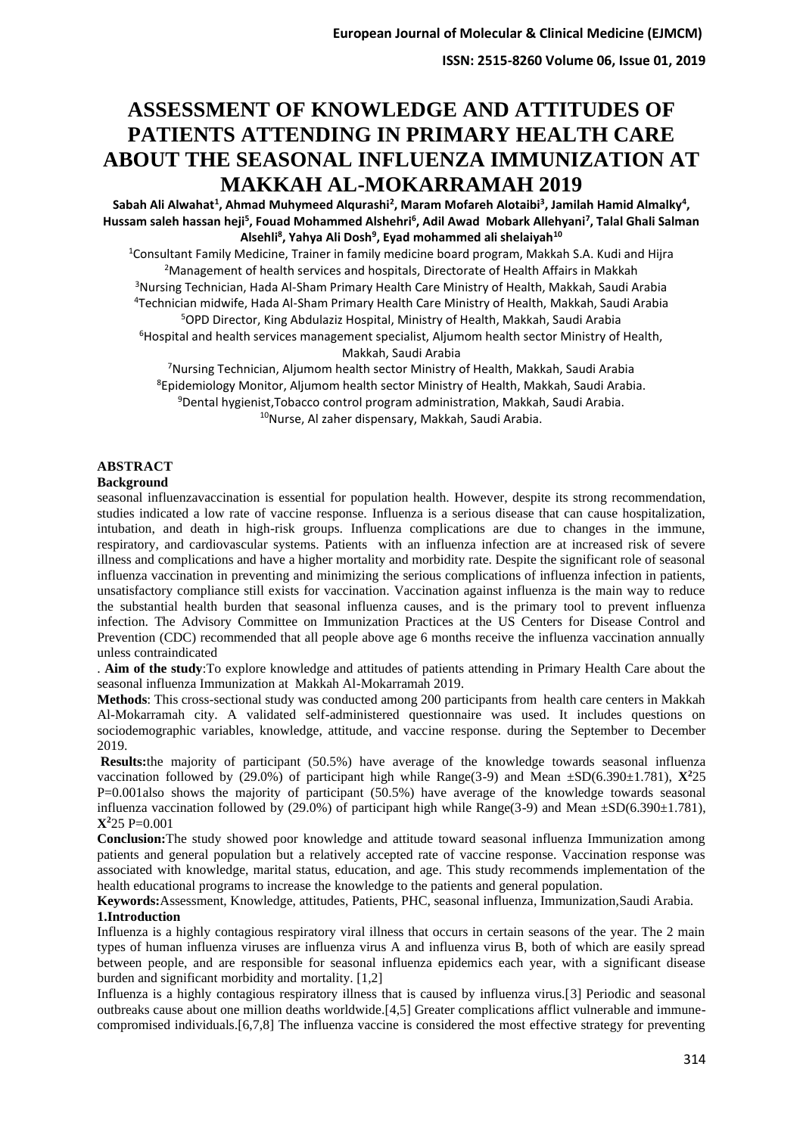**ISSN: 2515-8260 Volume 06, Issue 01, 2019**

# **ASSESSMENT OF KNOWLEDGE AND ATTITUDES OF PATIENTS ATTENDING IN PRIMARY HEALTH CARE ABOUT THE SEASONAL INFLUENZA IMMUNIZATION AT MAKKAH AL-MOKARRAMAH 2019**

Sabah Ali Alwahat<sup>1</sup>, Ahmad Muhymeed Alqurashi<sup>2</sup>, Maram Mofareh Alotaibi<sup>3</sup>, Jamilah Hamid Almalky<sup>4</sup>, **Hussam saleh hassan heji<sup>5</sup> , Fouad Mohammed Alshehri<sup>6</sup> , Adil Awad Mobark Allehyani<sup>7</sup> , Talal Ghali Salman Alsehli<sup>8</sup> , Yahya Ali Dosh<sup>9</sup> , Eyad mohammed ali shelaiyah<sup>10</sup>**

Consultant Family Medicine, Trainer in family medicine board program, Makkah S.A. Kudi and Hijra Management of health services and hospitals, Directorate of Health Affairs in Makkah <sup>3</sup>Nursing Technician, Hada Al-Sham Primary Health Care Ministry of Health, Makkah, Saudi Arabia Technician midwife, Hada Al-Sham Primary Health Care Ministry of Health, Makkah, Saudi Arabia OPD Director, King Abdulaziz Hospital, Ministry of Health, Makkah, Saudi Arabia Hospital and health services management specialist. Aliumom health sector Ministry of Health,

Makkah, Saudi Arabia

Nursing Technician, Aljumom health sector Ministry of Health, Makkah, Saudi Arabia Epidemiology Monitor, Aljumom health sector Ministry of Health, Makkah, Saudi Arabia. Dental hygienist,Tobacco control program administration, Makkah, Saudi Arabia. Nurse, Al zaher dispensary, Makkah, Saudi Arabia.

# **ABSTRACT**

#### **Background**

seasonal influenzavaccination is essential for population health. However, despite its strong recommendation, studies indicated a low rate of vaccine response. Influenza is a serious disease that can cause hospitalization, intubation, and death in high-risk groups. Influenza complications are due to changes in the immune, respiratory, and cardiovascular systems. Patients with an influenza infection are at increased risk of severe illness and complications and have a higher mortality and morbidity rate. Despite the significant role of seasonal influenza vaccination in preventing and minimizing the serious complications of influenza infection in patients, unsatisfactory compliance still exists for vaccination. Vaccination against influenza is the main way to reduce the substantial health burden that seasonal influenza causes, and is the primary tool to prevent influenza infection. The Advisory Committee on Immunization Practices at the US Centers for Disease Control and Prevention (CDC) recommended that all people above age 6 months receive the influenza vaccination annually unless contraindicated

. **Aim of the study**:To explore knowledge and attitudes of patients attending in Primary Health Care about the seasonal influenza Immunization at Makkah Al-Mokarramah 2019.

**Methods**: This cross-sectional study was conducted among 200 participants from health care centers in Makkah Al-Mokarramah city. A validated self-administered questionnaire was used. It includes questions on sociodemographic variables, knowledge, attitude, and vaccine response. during the September to December 2019.

**Results:**the majority of participant (50.5%) have average of the knowledge towards seasonal influenza vaccination followed by (29.0%) of participant high while Range(3-9) and Mean  $\pm SD(6.390\pm 1.781)$ ,  $\mathbf{X}^225$ P=0.001also shows the majority of participant (50.5%) have average of the knowledge towards seasonal influenza vaccination followed by (29.0%) of participant high while  $Range(3-9)$  and Mean  $\pm SD(6.390\pm 1.781)$ , **X<sup>2</sup>**25 P=0.001

**Conclusion:**The study showed poor knowledge and attitude toward seasonal influenza Immunization among patients and general population but a relatively accepted rate of vaccine response. Vaccination response was associated with knowledge, marital status, education, and age. This study recommends implementation of the health educational programs to increase the knowledge to the patients and general population.

**Keywords:**Assessment, Knowledge, attitudes, Patients, PHC, seasonal influenza, Immunization,Saudi Arabia. **1.Introduction**

Influenza is a highly contagious respiratory viral illness that occurs in certain seasons of the year. The 2 main types of human influenza viruses are influenza virus A and influenza virus B, both of which are easily spread between people, and are responsible for seasonal influenza epidemics each year, with a significant disease burden and significant morbidity and mortality. [1,2]

Influenza is a highly contagious respiratory illness that is caused by influenza virus.[3] Periodic and seasonal outbreaks cause about one million deaths worldwide.[4,5] Greater complications afflict vulnerable and immunecompromised individuals.[6,7,8] The influenza vaccine is considered the most effective strategy for preventing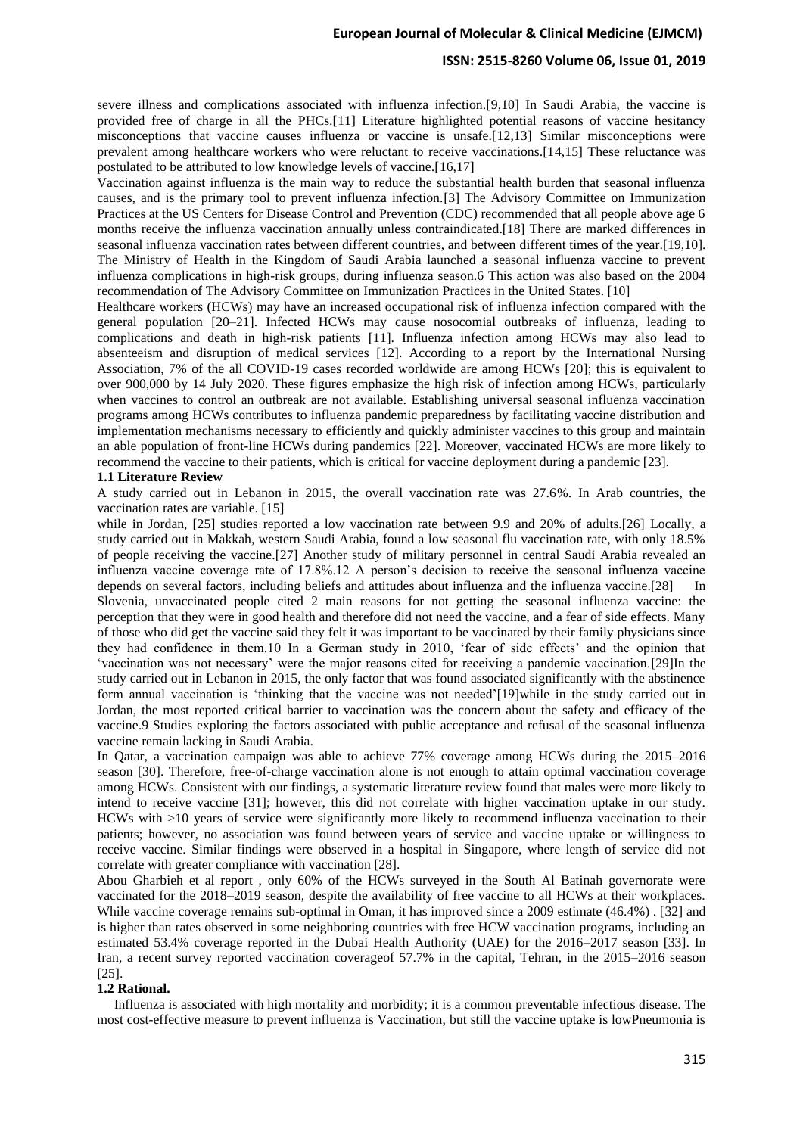#### **ISSN: 2515-8260 Volume 06, Issue 01, 2019**

severe illness and complications associated with influenza infection.[9,10] In Saudi Arabia, the vaccine is provided free of charge in all the PHCs.[11] Literature highlighted potential reasons of vaccine hesitancy misconceptions that vaccine causes influenza or vaccine is unsafe.[12,13] Similar misconceptions were prevalent among healthcare workers who were reluctant to receive vaccinations.[14,15] These reluctance was postulated to be attributed to low knowledge levels of vaccine.[16,17]

Vaccination against influenza is the main way to reduce the substantial health burden that seasonal influenza causes, and is the primary tool to prevent influenza infection.[3] The Advisory Committee on Immunization Practices at the US Centers for Disease Control and Prevention (CDC) recommended that all people above age 6 months receive the influenza vaccination annually unless contraindicated.[18] There are marked differences in seasonal influenza vaccination rates between different countries, and between different times of the year.[19,10]. The Ministry of Health in the Kingdom of Saudi Arabia launched a seasonal influenza vaccine to prevent influenza complications in high-risk groups, during influenza season.6 This action was also based on the 2004 recommendation of The Advisory Committee on Immunization Practices in the United States. [10]

Healthcare workers (HCWs) may have an increased occupational risk of influenza infection compared with the general population [20–21]. Infected HCWs may cause nosocomial outbreaks of influenza, leading to complications and death in high-risk patients [11]. Influenza infection among HCWs may also lead to absenteeism and disruption of medical services [12]. According to a report by the International Nursing Association, 7% of the all COVID-19 cases recorded worldwide are among HCWs [20]; this is equivalent to over 900,000 by 14 July 2020. These figures emphasize the high risk of infection among HCWs, particularly when vaccines to control an outbreak are not available. Establishing universal seasonal influenza vaccination programs among HCWs contributes to influenza pandemic preparedness by facilitating vaccine distribution and implementation mechanisms necessary to efficiently and quickly administer vaccines to this group and maintain an able population of front-line HCWs during pandemics [22]. Moreover, vaccinated HCWs are more likely to recommend the vaccine to their patients, which is critical for vaccine deployment during a pandemic [23].

#### **1.1 Literature Review**

A study carried out in Lebanon in 2015, the overall vaccination rate was 27.6%. In Arab countries, the vaccination rates are variable. [15]

while in Jordan, [25] studies reported a low vaccination rate between 9.9 and 20% of adults.[26] Locally, a study carried out in Makkah, western Saudi Arabia, found a low seasonal flu vaccination rate, with only 18.5% of people receiving the vaccine.[27] Another study of military personnel in central Saudi Arabia revealed an influenza vaccine coverage rate of 17.8%.12 A person's decision to receive the seasonal influenza vaccine depends on several factors, including beliefs and attitudes about influenza and the influenza vaccine.[28] In Slovenia, unvaccinated people cited 2 main reasons for not getting the seasonal influenza vaccine: the perception that they were in good health and therefore did not need the vaccine, and a fear of side effects. Many of those who did get the vaccine said they felt it was important to be vaccinated by their family physicians since they had confidence in them.10 In a German study in 2010, 'fear of side effects' and the opinion that 'vaccination was not necessary' were the major reasons cited for receiving a pandemic vaccination.[29]In the study carried out in Lebanon in 2015, the only factor that was found associated significantly with the abstinence form annual vaccination is 'thinking that the vaccine was not needed'[19]while in the study carried out in Jordan, the most reported critical barrier to vaccination was the concern about the safety and efficacy of the vaccine.9 Studies exploring the factors associated with public acceptance and refusal of the seasonal influenza vaccine remain lacking in Saudi Arabia.

In Qatar, a vaccination campaign was able to achieve 77% coverage among HCWs during the 2015–2016 season [30]. Therefore, free-of-charge vaccination alone is not enough to attain optimal vaccination coverage among HCWs. Consistent with our findings, a systematic literature review found that males were more likely to intend to receive vaccine [31]; however, this did not correlate with higher vaccination uptake in our study. HCWs with >10 years of service were significantly more likely to recommend influenza vaccination to their patients; however, no association was found between years of service and vaccine uptake or willingness to receive vaccine. Similar findings were observed in a hospital in Singapore, where length of service did not correlate with greater compliance with vaccination [28].

Abou Gharbieh et al report , only 60% of the HCWs surveyed in the South Al Batinah governorate were vaccinated for the 2018–2019 season, despite the availability of free vaccine to all HCWs at their workplaces. While vaccine coverage remains sub-optimal in Oman, it has improved since a 2009 estimate (46.4%). [32] and is higher than rates observed in some neighboring countries with free HCW vaccination programs, including an estimated 53.4% coverage reported in the Dubai Health Authority (UAE) for the 2016–2017 season [33]. In Iran, a recent survey reported vaccination coverageof 57.7% in the capital, Tehran, in the 2015–2016 season [25].

#### **1.2 Rational.**

 Influenza is associated with high mortality and morbidity; it is a common preventable infectious disease. The most cost-effective measure to prevent influenza is Vaccination, but still the vaccine uptake is lowPneumonia is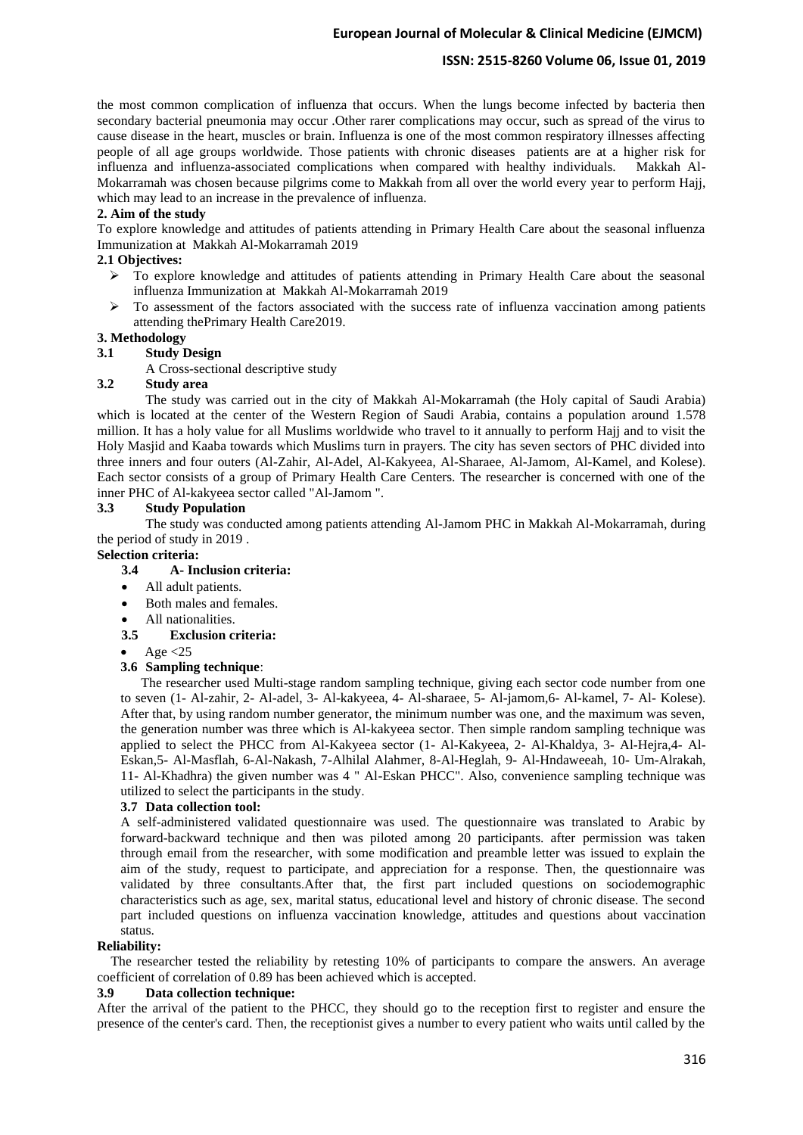# **ISSN: 2515-8260 Volume 06, Issue 01, 2019**

the most common complication of influenza that occurs. When the lungs become infected by bacteria then secondary bacterial pneumonia may occur .Other rarer complications may occur, such as spread of the virus to cause disease in the heart, muscles or brain. Influenza is one of the most common respiratory illnesses affecting people of all age groups worldwide. Those patients with chronic diseases patients are at a higher risk for influenza and influenza-associated complications when compared with healthy individuals. Makkah Al-Mokarramah was chosen because pilgrims come to Makkah from all over the world every year to perform Hajj, which may lead to an increase in the prevalence of influenza.

#### **2. Aim of the study**

To explore knowledge and attitudes of patients attending in Primary Health Care about the seasonal influenza Immunization at Makkah Al-Mokarramah 2019

# **2.1 Objectives:**

- $\triangleright$  To explore knowledge and attitudes of patients attending in Primary Health Care about the seasonal influenza Immunization at Makkah Al-Mokarramah 2019
- $\triangleright$  To assessment of the factors associated with the success rate of influenza vaccination among patients attending thePrimary Health Care2019.

# **3. Methodology**

#### **3.1 Study Design**

A Cross-sectional descriptive study

#### **3.2 Study area**

The study was carried out in the city of Makkah Al-Mokarramah (the Holy capital of Saudi Arabia) which is located at the center of the Western Region of Saudi Arabia, contains a population around 1.578 million. It has a holy value for all Muslims worldwide who travel to it annually to perform Hajj and to visit the Holy Masjid and Kaaba towards which Muslims turn in prayers. The city has seven sectors of PHC divided into three inners and four outers (Al-Zahir, Al-Adel, Al-Kakyeea, Al-Sharaee, Al-Jamom, Al-Kamel, and Kolese). Each sector consists of a group of Primary Health Care Centers. The researcher is concerned with one of the inner PHC of Al-kakyeea sector called "Al-Jamom ".

#### **3.3 Study Population**

The study was conducted among patients attending Al-Jamom PHC in Makkah Al-Mokarramah, during the period of study in 2019 .

# **Selection criteria:**

## **3.4 A- Inclusion criteria:**

- All adult patients.
- Both males and females
- All nationalities.
- **3.5 Exclusion criteria:**
- Age  $<$ 25

#### **3.6 Sampling technique** :

 The researcher used Multi-stage random sampling technique, giving each sector code number from one to seven (1- Al-zahir, 2- Al-adel, 3- Al-kakyeea, 4- Al-sharaee, 5- Al-jamom,6- Al-kamel, 7- Al- Kolese). After that, by using random number generator, the minimum number was one, and the maximum was seven, the generation number was three which is Al-kakyeea sector. Then simple random sampling technique was applied to select the PHCC from Al-Kakyeea sector (1- Al-Kakyeea, 2- Al-Khaldya, 3- Al-Hejra,4- Al-Eskan,5- Al-Masflah, 6-Al-Nakash, 7-Alhilal Alahmer, 8-Al-Heglah, 9- Al-Hndaweeah, 10- Um-Alrakah, 11- Al-Khadhra) the given number was 4 " Al-Eskan PHCC". Also, convenience sampling technique was utilized to select the participants in the study .

#### **3.7 Data collection tool:**

A self-administered validated questionnaire was used. The questionnaire was translated to Arabic by forward-backward technique and then was piloted among 20 participants. after permission was taken through email from the researcher, with some modification and preamble letter was issued to explain the aim of the study, request to participate, and appreciation for a response. Then, the questionnaire was validated by three consultants.After that, the first part included questions on sociodemographic characteristics such as age, sex, marital status, educational level and history of chronic disease. The second part included questions on influenza vaccination knowledge, attitudes and questions about vaccination status.

#### **Reliability:**

 The researcher tested the reliability by retesting 10% of participants to compare the answers. An average coefficient of correlation of 0.89 has been achieved which is accepted.

#### **3.9 Data collection technique:**

After the arrival of the patient to the PHCC, they should go to the reception first to register and ensure the presence of the center's card. Then, the receptionist gives a number to every patient who waits until called by the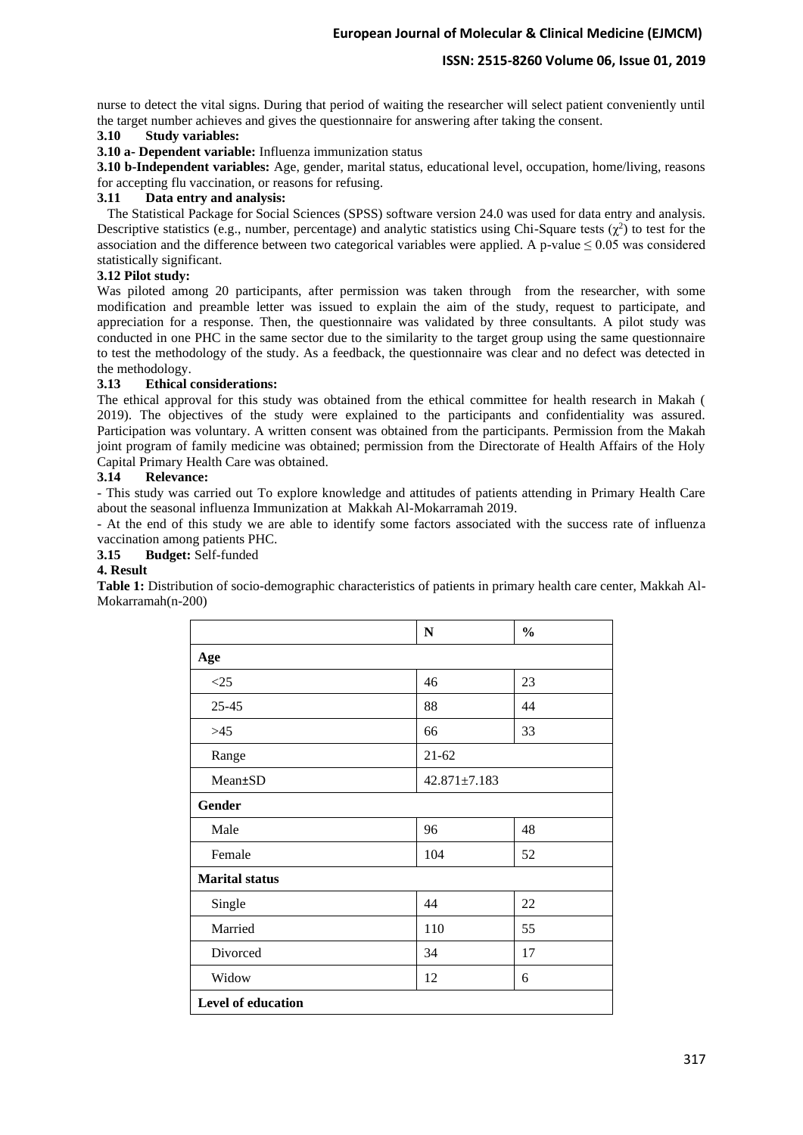# **ISSN: 2515-8260 Volume 06, Issue 01, 2019**

nurse to detect the vital signs. During that period of waiting the researcher will select patient conveniently until the target number achieves and gives the questionnaire for answering after taking the consent.

# **3.10 Study variables:**

**3.10 a- Dependent variable:** Influenza immunization status

**3.10 b-Independent variables:** Age, gender, marital status, educational level, occupation, home/living, reasons for accepting flu vaccination, or reasons for refusing.

## **3.11 Data entry and analysis:**

 The Statistical Package for Social Sciences (SPSS) software version 24.0 was used for data entry and analysis. Descriptive statistics (e.g., number, percentage) and analytic statistics using Chi-Square tests  $(\chi^2)$  to test for the association and the difference between two categorical variables were applied. A p-value  $\leq 0.05$  was considered statistically significant.

#### **3.12 Pilot study:**

Was piloted among 20 participants, after permission was taken through from the researcher, with some modification and preamble letter was issued to explain the aim of the study, request to participate, and appreciation for a response. Then, the questionnaire was validated by three consultants. A pilot study was conducted in one PHC in the same sector due to the similarity to the target group using the same questionnaire to test the methodology of the study. As a feedback, the questionnaire was clear and no defect was detected in the methodology.

#### **3.13 Ethical considerations:**

The ethical approval for this study was obtained from the ethical committee for health research in Makah ( 2019). The objectives of the study were explained to the participants and confidentiality was assured. Participation was voluntary. A written consent was obtained from the participants. Permission from the Makah joint program of family medicine was obtained; permission from the Directorate of Health Affairs of the Holy Capital Primary Health Care was obtained.

#### **3.14 Relevance:**

- This study was carried out To explore knowledge and attitudes of patients attending in Primary Health Care about the seasonal influenza Immunization at Makkah Al-Mokarramah 2019.

- At the end of this study we are able to identify some factors associated with the success rate of influenza vaccination among patients PHC.

# **3.15 Budget:** Self-funded

#### **4. Result**

**Table 1:** Distribution of socio-demographic characteristics of patients in primary health care center, Makkah Al-Mokarramah(n-200)

|                       | N                  | $\frac{0}{0}$ |
|-----------------------|--------------------|---------------|
| Age                   |                    |               |
| <25                   | 46                 | 23            |
| $25 - 45$             | 88                 | 44            |
| >45                   | 66                 | 33            |
| Range                 | $21 - 62$          |               |
| Mean±SD               | $42.871 \pm 7.183$ |               |
| <b>Gender</b>         |                    |               |
| Male                  | 96                 | 48            |
| Female                | 104                | 52            |
| <b>Marital status</b> |                    |               |
| Single                | 44                 | 22            |
| Married               | 110                | 55            |
| Divorced              | 34                 | 17            |
| Widow                 | 12                 | 6             |
| Level of education    |                    |               |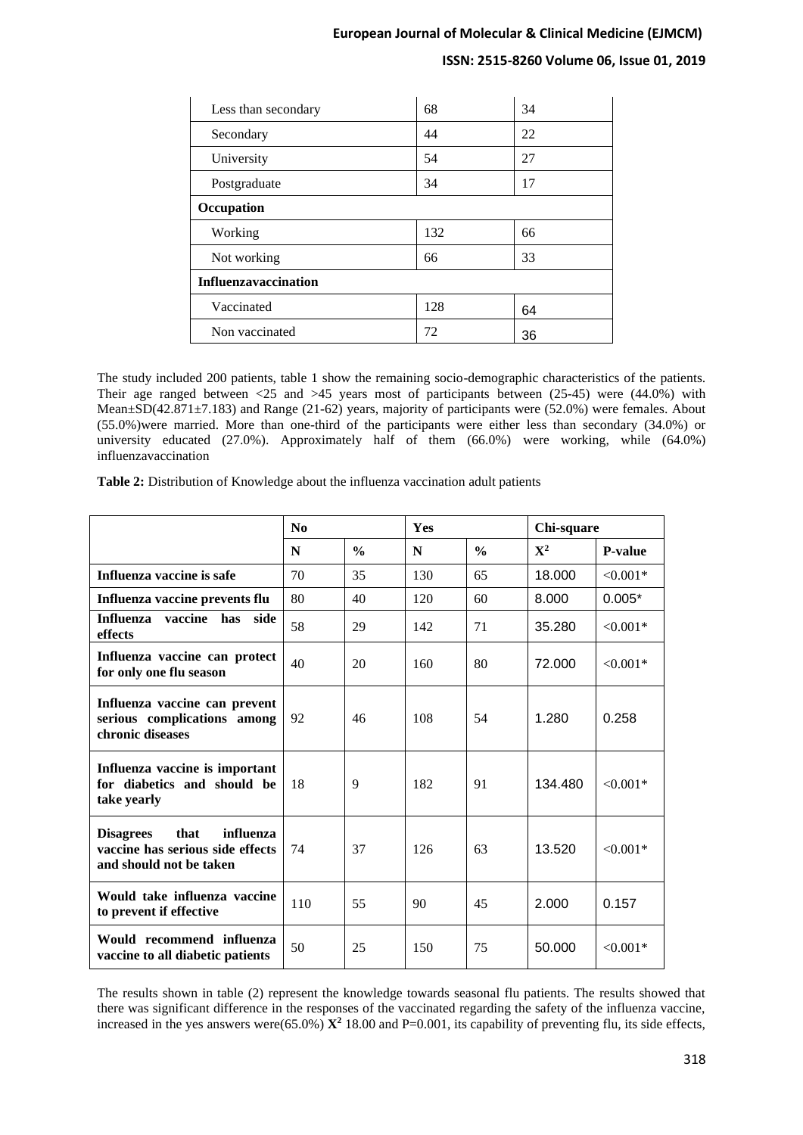# **ISSN: 2515-8260 Volume 06, Issue 01, 2019**

| Less than secondary  | 68  | 34 |
|----------------------|-----|----|
| Secondary            | 44  | 22 |
| University           | 54  | 27 |
| Postgraduate         | 34  | 17 |
| Occupation           |     |    |
| Working              | 132 | 66 |
| Not working          | 66  | 33 |
| Influenzavaccination |     |    |
| Vaccinated           | 128 | 64 |
| Non vaccinated       | 72  | 36 |

The study included 200 patients, table 1 show the remaining socio-demographic characteristics of the patients. Their age ranged between <25 and >45 years most of participants between (25-45) were (44.0%) with Mean±SD(42.871±7.183) and Range (21-62) years, majority of participants were (52.0%) were females. About (55.0%)were married. More than one-third of the participants were either less than secondary (34.0%) or university educated (27.0%). Approximately half of them (66.0%) were working, while (64.0%) influenzavaccination

**Table 2:** Distribution of Knowledge about the influenza vaccination adult patients

|                                                                                                      | N <sub>0</sub> |               | <b>Yes</b> |               | Chi-square  |                |  |
|------------------------------------------------------------------------------------------------------|----------------|---------------|------------|---------------|-------------|----------------|--|
|                                                                                                      | N              | $\frac{0}{0}$ | N          | $\frac{0}{0}$ | ${\bf X}^2$ | <b>P-value</b> |  |
| Influenza vaccine is safe                                                                            | 70             | 35            | 130        | 65            | 18.000      | $< 0.001*$     |  |
| Influenza vaccine prevents flu                                                                       | 80             | 40            | 120        | 60            | 8.000       | $0.005*$       |  |
| <b>Influenza</b><br>vaccine has<br>side<br>effects                                                   | 58             | 29            | 142        | 71            | 35.280      | $< 0.001*$     |  |
| Influenza vaccine can protect<br>for only one flu season                                             | 40             | 20            | 160        | 80            | 72.000      | $< 0.001*$     |  |
| Influenza vaccine can prevent<br>serious complications among<br>chronic diseases                     | 92             | 46            | 108        | 54            | 1.280       | 0.258          |  |
| Influenza vaccine is important<br>for diabetics and should be<br>take yearly                         | 18             | 9             | 182        | 91            | 134.480     | $< 0.001*$     |  |
| influenza<br><b>Disagrees</b><br>that<br>vaccine has serious side effects<br>and should not be taken | 74             | 37            | 126        | 63            | 13.520      | $< 0.001*$     |  |
| Would take influenza vaccine<br>to prevent if effective                                              | 110            | 55            | 90         | 45            | 2.000       | 0.157          |  |
| Would recommend influenza<br>vaccine to all diabetic patients                                        | 50             | 25            | 150        | 75            | 50.000      | $< 0.001*$     |  |

The results shown in table (2) represent the knowledge towards seasonal flu patients. The results showed that there was significant difference in the responses of the vaccinated regarding the safety of the influenza vaccine, increased in the yes answers were(65.0%)  $\mathbf{X}^2$  18.00 and P=0.001, its capability of preventing flu, its side effects,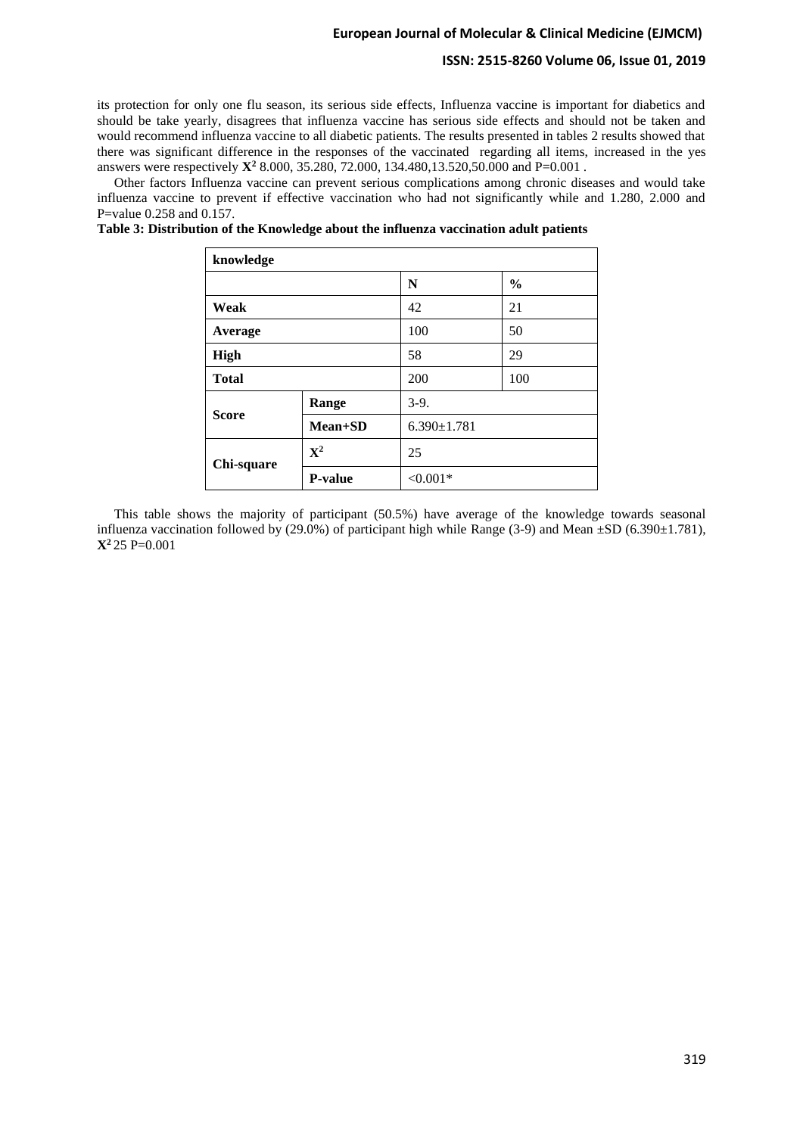#### **ISSN: 2515-8260 Volume 06, Issue 01, 2019**

its protection for only one flu season, its serious side effects, Influenza vaccine is important for diabetics and should be take yearly, disagrees that influenza vaccine has serious side effects and should not be taken and would recommend influenza vaccine to all diabetic patients. The results presented in tables 2 results showed that there was significant difference in the responses of the vaccinated regarding all items, increased in the yes answers were respectively **X<sup>2</sup>** 8.000, 35.280, 72.000, 134.480,13.520,50.000 and P=0.001 .

 Other factors Influenza vaccine can prevent serious complications among chronic diseases and would take influenza vaccine to prevent if effective vaccination who had not significantly while and 1.280, 2.000 and P=value 0.258 and 0.157.

**Table 3: Distribution of the Knowledge about the influenza vaccination adult patients**

| knowledge    |                |                   |               |  |  |  |  |  |  |
|--------------|----------------|-------------------|---------------|--|--|--|--|--|--|
|              |                | N                 | $\frac{6}{9}$ |  |  |  |  |  |  |
| Weak         |                | 42                | 21            |  |  |  |  |  |  |
| Average      |                | 100               | 50            |  |  |  |  |  |  |
| <b>High</b>  |                | 58                | 29            |  |  |  |  |  |  |
| <b>Total</b> |                | 200               | 100           |  |  |  |  |  |  |
|              | Range          | $3-9.$            |               |  |  |  |  |  |  |
| <b>Score</b> | <b>Mean+SD</b> | $6.390 \pm 1.781$ |               |  |  |  |  |  |  |
| Chi-square   | $\mathbf{X}^2$ | 25                |               |  |  |  |  |  |  |
|              | <b>P-value</b> | $<0.001*$         |               |  |  |  |  |  |  |

 This table shows the majority of participant (50.5%) have average of the knowledge towards seasonal influenza vaccination followed by (29.0%) of participant high while Range (3-9) and Mean  $\pm$ SD (6.390 $\pm$ 1.781), **X2** 25 P=0.001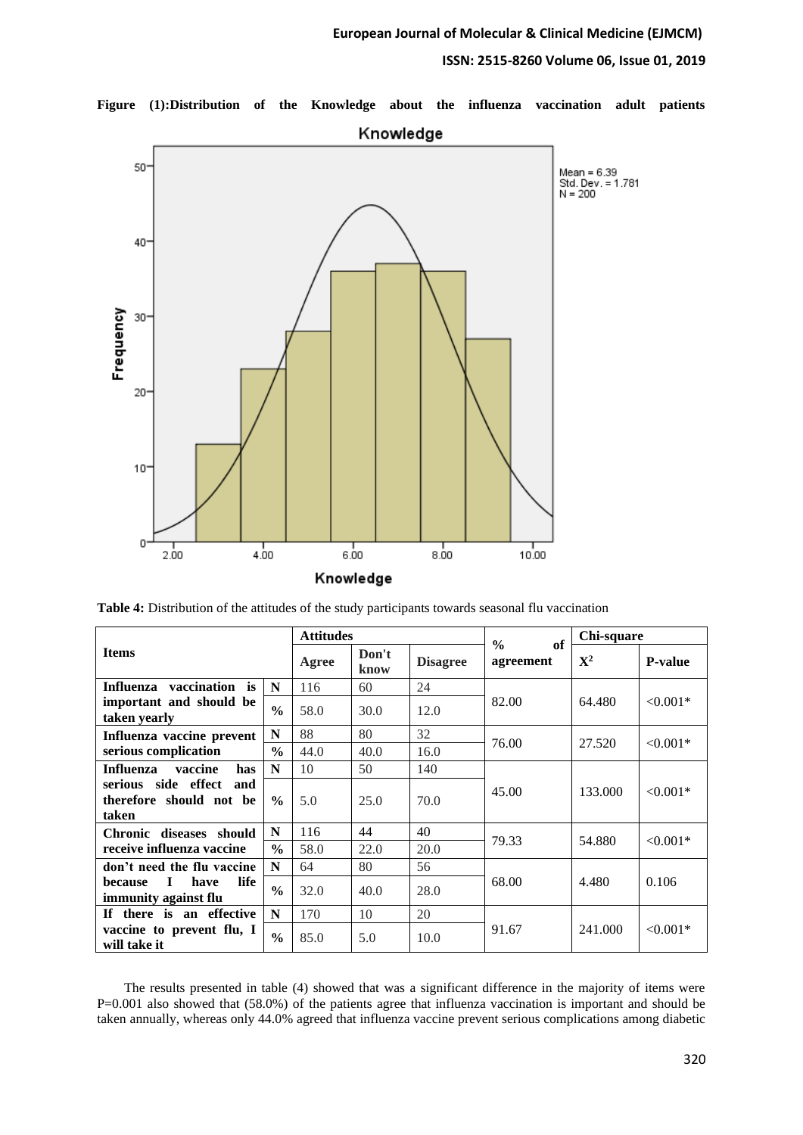# **ISSN: 2515-8260 Volume 06, Issue 01, 2019**



**Figure (1):Distribution of the Knowledge about the influenza vaccination adult patients**

|  |  |  |  | Table 4: Distribution of the attitudes of the study participants towards seasonal flu vaccination |
|--|--|--|--|---------------------------------------------------------------------------------------------------|
|  |  |  |  |                                                                                                   |

|                                                                | <b>Attitudes</b> |       |               | of<br>$\frac{0}{0}$ | Chi-square |             |                |
|----------------------------------------------------------------|------------------|-------|---------------|---------------------|------------|-------------|----------------|
| <b>Items</b>                                                   |                  | Agree | Don't<br>know | <b>Disagree</b>     | agreement  | ${\bf X}^2$ | <b>P-value</b> |
| vaccination is<br>Influenza                                    | N                | 116   | 60            | 24                  |            |             |                |
| important and should be<br>taken yearly                        | $\frac{0}{0}$    | 58.0  | 30.0          | 12.0                | 82.00      | 64.480      | $< 0.001*$     |
| Influenza vaccine prevent                                      | N                | 88    | 80            | 32                  | 76.00      | 27.520      |                |
| serious complication                                           | $\frac{0}{0}$    | 44.0  | 40.0          | 16.0                |            |             | $< 0.001*$     |
| vaccine<br>Influenza<br>has                                    | N                | 10    | 50            | 140                 |            |             | $< 0.001*$     |
| serious side effect<br>and<br>therefore should not be<br>taken | $\frac{0}{0}$    | 5.0   | 25.0          | 70.0                | 45.00      | 133,000     |                |
| Chronic diseases should                                        | N                | 116   | 44            | 40                  |            |             |                |
| receive influenza vaccine                                      | $\frac{0}{0}$    | 58.0  | 22.0          | 20.0                | 79.33      | 54.880      | $< 0.001*$     |
| don't need the flu vaccine                                     | N                | 64    | 80            | 56                  |            |             |                |
| life<br>have<br>L<br>because<br>immunity against flu           | $\frac{0}{0}$    | 32.0  | 40.0          | 28.0                | 68.00      | 4.480       | 0.106          |
| If there is an effective                                       | N                | 170   | 10            | 20                  |            |             |                |
| vaccine to prevent flu, I<br>will take it                      | $\frac{0}{0}$    | 85.0  | 5.0           | 10.0                | 91.67      | 241.000     | $< 0.001*$     |

 The results presented in table (4) showed that was a significant difference in the majority of items were P=0.001 also showed that (58.0%) of the patients agree that influenza vaccination is important and should be taken annually, whereas only 44.0% agreed that influenza vaccine prevent serious complications among diabetic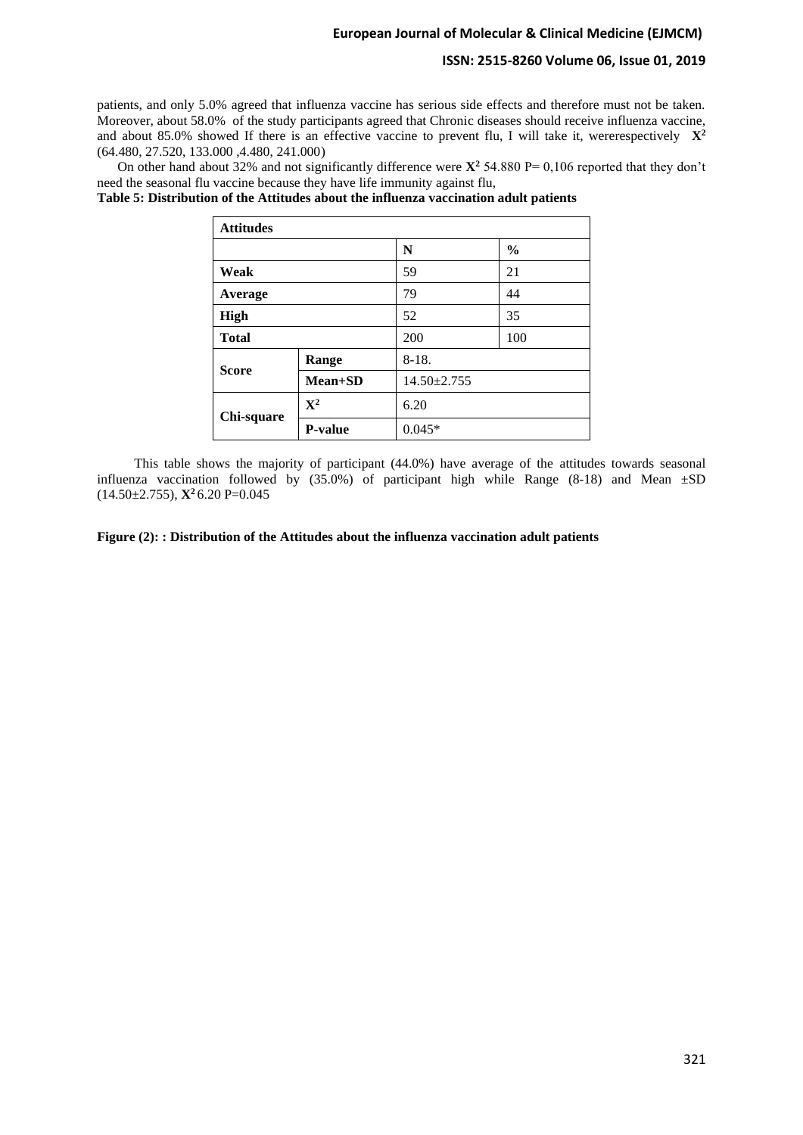#### **ISSN: 2515-8260 Volume 06, Issue 01, 2019**

patients, and only 5.0% agreed that influenza vaccine has serious side effects and therefore must not be taken. Moreover, about 58.0% of the study participants agreed that Chronic diseases should receive influenza vaccine, and about 85.0% showed If there is an effective vaccine to prevent flu, I will take it, were respectively  $X^2$ (64.480, 27.520, 133.000 ,4.480, 241.000)

On other hand about 32% and not significantly difference were  $\mathbf{X}^2$  54.880 P= 0,106 reported that they don't need the seasonal flu vaccine because they have life immunity against flu,

**Table 5: Distribution of the Attitudes about the influenza vaccination adult patients**

| <b>Attitudes</b> |                |                   |               |  |  |  |
|------------------|----------------|-------------------|---------------|--|--|--|
|                  |                | N                 | $\frac{6}{9}$ |  |  |  |
| Weak             |                | 59                | 21            |  |  |  |
| Average          |                | 79                | 44            |  |  |  |
| <b>High</b>      |                | 52                | 35            |  |  |  |
| <b>Total</b>     |                | 200               | 100           |  |  |  |
| <b>Score</b>     | Range          | $8-18.$           |               |  |  |  |
|                  | <b>Mean+SD</b> | $14.50 \pm 2.755$ |               |  |  |  |
| Chi-square       | $\mathbf{X}^2$ | 6.20              |               |  |  |  |
|                  | <b>P-value</b> | $0.045*$          |               |  |  |  |

 This table shows the majority of participant (44.0%) have average of the attitudes towards seasonal influenza vaccination followed by  $(35.0\%)$  of participant high while Range  $(8-18)$  and Mean  $\pm SD$  $(14.50 \pm 2.755)$ ,  $\mathbf{X}^2$  6.20 P=0.045

**Figure (2): : Distribution of the Attitudes about the influenza vaccination adult patients**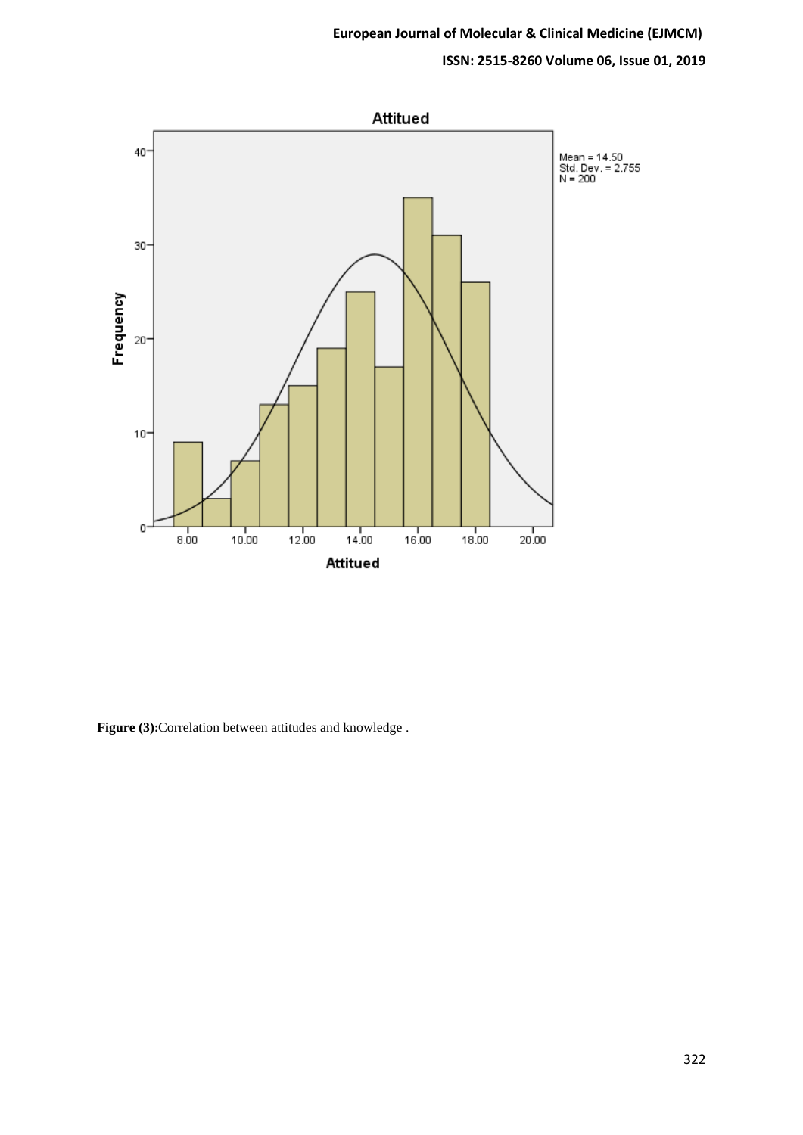# **ISSN: 2515-8260 Volume 06, Issue 01, 2019**



**Figure (3):**Correlation between attitudes and knowledge .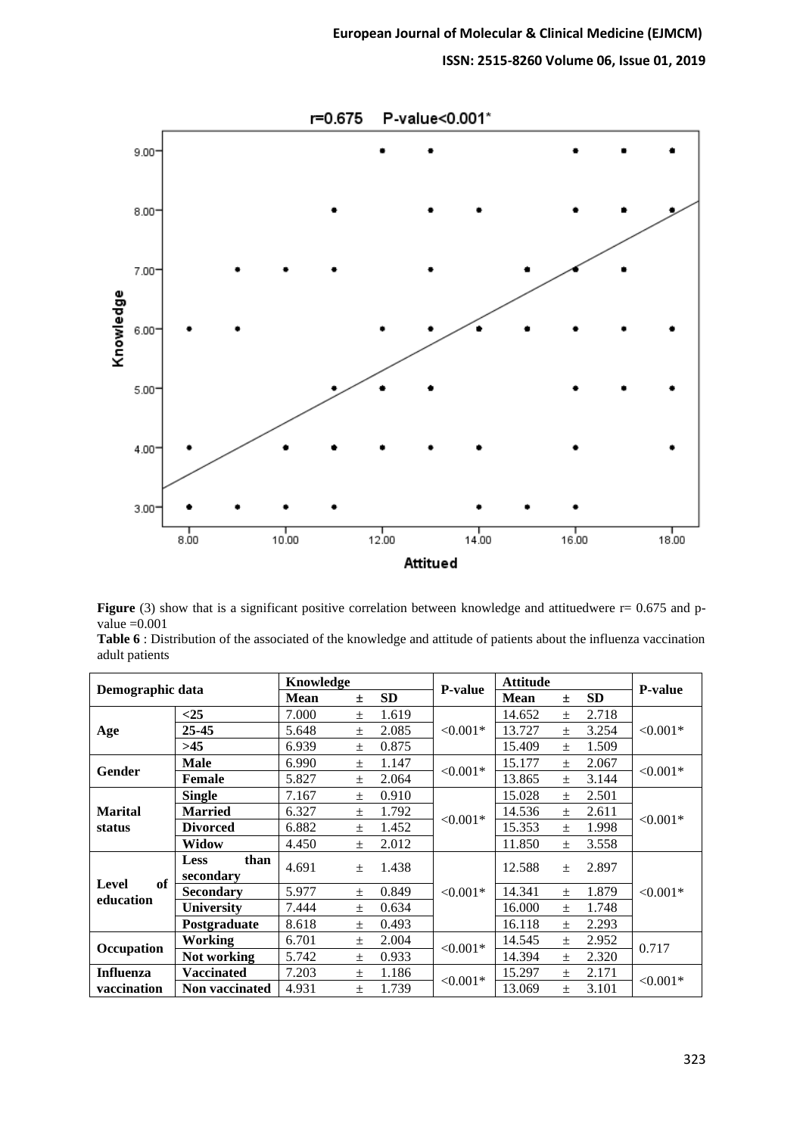**ISSN: 2515-8260 Volume 06, Issue 01, 2019**



|                |  | <b>Figure</b> (3) show that is a significant positive correlation between knowledge and attituedwere $r = 0.675$ and p- |  |  |  |  |  |
|----------------|--|-------------------------------------------------------------------------------------------------------------------------|--|--|--|--|--|
| value $=0.001$ |  |                                                                                                                         |  |  |  |  |  |

|                |  |  |  |  |  | Table 6 : Distribution of the associated of the knowledge and attitude of patients about the influenza vaccination |  |
|----------------|--|--|--|--|--|--------------------------------------------------------------------------------------------------------------------|--|
| adult patients |  |  |  |  |  |                                                                                                                    |  |

| Demographic data |                       | Knowledge |           |       | <b>Attitude</b><br><b>P-value</b> |        |           |                |            |  |
|------------------|-----------------------|-----------|-----------|-------|-----------------------------------|--------|-----------|----------------|------------|--|
|                  | <b>Mean</b>           | 土         | <b>SD</b> |       | <b>Mean</b>                       | 土      | <b>SD</b> | <b>P-value</b> |            |  |
|                  | $<$ 25                | 7.000     | $+$       | 1.619 |                                   | 14.652 | $+$       | 2.718          |            |  |
| Age              | 25-45                 | 5.648     | $\pm$     | 2.085 | $< 0.001*$                        | 13.727 | $\pm$     | 3.254          | $< 0.001*$ |  |
|                  | $>45$                 | 6.939     | 士         | 0.875 |                                   | 15.409 | $\pm$     | 1.509          |            |  |
| Gender           | <b>Male</b>           | 6.990     | $+$       | 1.147 | $< 0.001*$                        | 15.177 | $+$       | 2.067          | $< 0.001*$ |  |
|                  | <b>Female</b>         | 5.827     | $\pm$     | 2.064 |                                   | 13.865 | $\pm$     | 3.144          |            |  |
|                  | <b>Single</b>         | 7.167     | $\pm$     | 0.910 |                                   | 15.028 | $\pm$     | 2.501          |            |  |
| <b>Marital</b>   | <b>Married</b>        | 6.327     | $\pm$     | 1.792 | $< 0.001*$                        | 14.536 | $\pm$     | 2.611          | $< 0.001*$ |  |
| status           | <b>Divorced</b>       | 6.882     | $\pm$     | 1.452 |                                   | 15.353 | $+$       | 1.998          |            |  |
|                  | <b>Widow</b>          | 4.450     | $\pm$     | 2.012 |                                   | 11.850 | $\pm$     | 3.558          |            |  |
|                  | than<br><b>Less</b>   | 4.691     | $\pm$     | 1.438 |                                   | 12.588 | $+$       | 2.897          |            |  |
| of<br>Level      | secondary             |           |           |       |                                   |        |           |                |            |  |
| education        | <b>Secondary</b>      | 5.977     | $+$       | 0.849 | $< 0.001*$                        | 14.341 | $\pm$     | 1.879          | $< 0.001*$ |  |
|                  | <b>University</b>     | 7.444     | $\pm$     | 0.634 |                                   | 16.000 | $\pm$     | 1.748          |            |  |
|                  | Postgraduate          | 8.618     | $\pm$     | 0.493 |                                   | 16.118 | $+$       | 2.293          |            |  |
| Occupation       | Working               | 6.701     | $\pm$     | 2.004 | $< 0.001*$                        | 14.545 | $\pm$     | 2.952          | 0.717      |  |
|                  | Not working           | 5.742     | $\pm$     | 0.933 |                                   | 14.394 | $\pm$     | 2.320          |            |  |
| <b>Influenza</b> | <b>Vaccinated</b>     | 7.203     | $+$       | 1.186 | $< 0.001*$                        | 15.297 | $^{+}$    | 2.171          |            |  |
| vaccination      | <b>Non vaccinated</b> | 4.931     | $\pm$     | 1.739 |                                   | 13.069 | $+$       | 3.101          | $< 0.001*$ |  |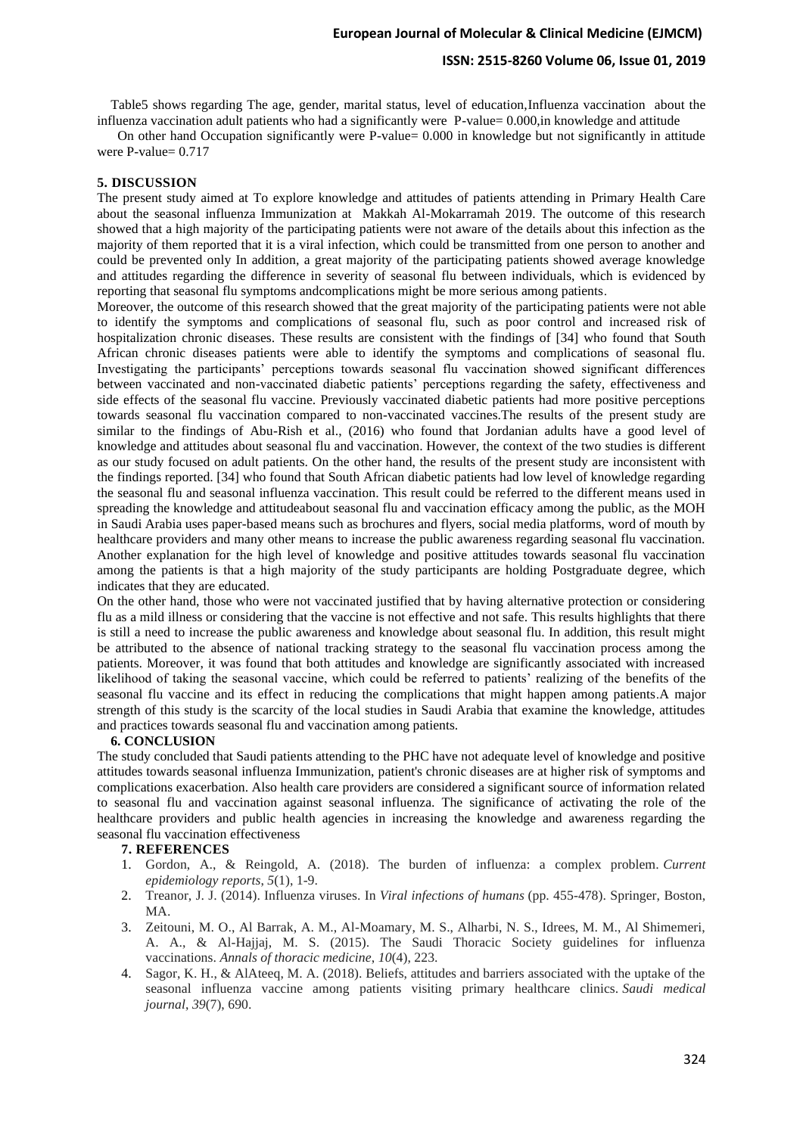#### **ISSN: 2515-8260 Volume 06, Issue 01, 2019**

 Table5 shows regarding The age, gender, marital status, level of education,Influenza vaccination about the influenza vaccination adult patients who had a significantly were P-value= 0.000,in knowledge and attitude

 On other hand Occupation significantly were P-value= 0.000 in knowledge but not significantly in attitude were P-value= 0.717

#### **5. DISCUSSION**

The present study aimed at To explore knowledge and attitudes of patients attending in Primary Health Care about the seasonal influenza Immunization at Makkah Al-Mokarramah 2019. The outcome of this research showed that a high majority of the participating patients were not aware of the details about this infection as the majority of them reported that it is a viral infection, which could be transmitted from one person to another and could be prevented only In addition, a great majority of the participating patients showed average knowledge and attitudes regarding the difference in severity of seasonal flu between individuals, which is evidenced by reporting that seasonal flu symptoms andcomplications might be more serious among patients.

Moreover, the outcome of this research showed that the great majority of the participating patients were not able to identify the symptoms and complications of seasonal flu, such as poor control and increased risk of hospitalization chronic diseases. These results are consistent with the findings of [34] who found that South African chronic diseases patients were able to identify the symptoms and complications of seasonal flu. Investigating the participants' perceptions towards seasonal flu vaccination showed significant differences between vaccinated and non-vaccinated diabetic patients' perceptions regarding the safety, effectiveness and side effects of the seasonal flu vaccine. Previously vaccinated diabetic patients had more positive perceptions towards seasonal flu vaccination compared to non-vaccinated vaccines.The results of the present study are similar to the findings of Abu-Rish et al., (2016) who found that Jordanian adults have a good level of knowledge and attitudes about seasonal flu and vaccination. However, the context of the two studies is different as our study focused on adult patients. On the other hand, the results of the present study are inconsistent with the findings reported. [34] who found that South African diabetic patients had low level of knowledge regarding the seasonal flu and seasonal influenza vaccination. This result could be referred to the different means used in spreading the knowledge and attitudeabout seasonal flu and vaccination efficacy among the public, as the MOH in Saudi Arabia uses paper-based means such as brochures and flyers, social media platforms, word of mouth by healthcare providers and many other means to increase the public awareness regarding seasonal flu vaccination. Another explanation for the high level of knowledge and positive attitudes towards seasonal flu vaccination among the patients is that a high majority of the study participants are holding Postgraduate degree, which indicates that they are educated.

On the other hand, those who were not vaccinated justified that by having alternative protection or considering flu as a mild illness or considering that the vaccine is not effective and not safe. This results highlights that there is still a need to increase the public awareness and knowledge about seasonal flu. In addition, this result might be attributed to the absence of national tracking strategy to the seasonal flu vaccination process among the patients. Moreover, it was found that both attitudes and knowledge are significantly associated with increased likelihood of taking the seasonal vaccine, which could be referred to patients' realizing of the benefits of the seasonal flu vaccine and its effect in reducing the complications that might happen among patients.A major strength of this study is the scarcity of the local studies in Saudi Arabia that examine the knowledge, attitudes and practices towards seasonal flu and vaccination among patients.

#### **6. CONCLUSION**

The study concluded that Saudi patients attending to the PHC have not adequate level of knowledge and positive attitudes towards seasonal influenza Immunization, patient's chronic diseases are at higher risk of symptoms and complications exacerbation. Also health care providers are considered a significant source of information related to seasonal flu and vaccination against seasonal influenza. The significance of activating the role of the healthcare providers and public health agencies in increasing the knowledge and awareness regarding the seasonal flu vaccination effectiveness

#### **7. REFERENCES**

- 1. Gordon, A., & Reingold, A. (2018). The burden of influenza: a complex problem. *Current epidemiology reports*, *5*(1), 1-9.
- 2. Treanor, J. J. (2014). Influenza viruses. In *Viral infections of humans* (pp. 455-478). Springer, Boston, MA.
- 3. Zeitouni, M. O., Al Barrak, A. M., Al-Moamary, M. S., Alharbi, N. S., Idrees, M. M., Al Shimemeri, A. A., & Al-Hajjaj, M. S. (2015). The Saudi Thoracic Society guidelines for influenza vaccinations. *Annals of thoracic medicine*, *10*(4), 223.
- 4. Sagor, K. H., & AlAteeq, M. A. (2018). Beliefs, attitudes and barriers associated with the uptake of the seasonal influenza vaccine among patients visiting primary healthcare clinics. *Saudi medical journal*, *39*(7), 690.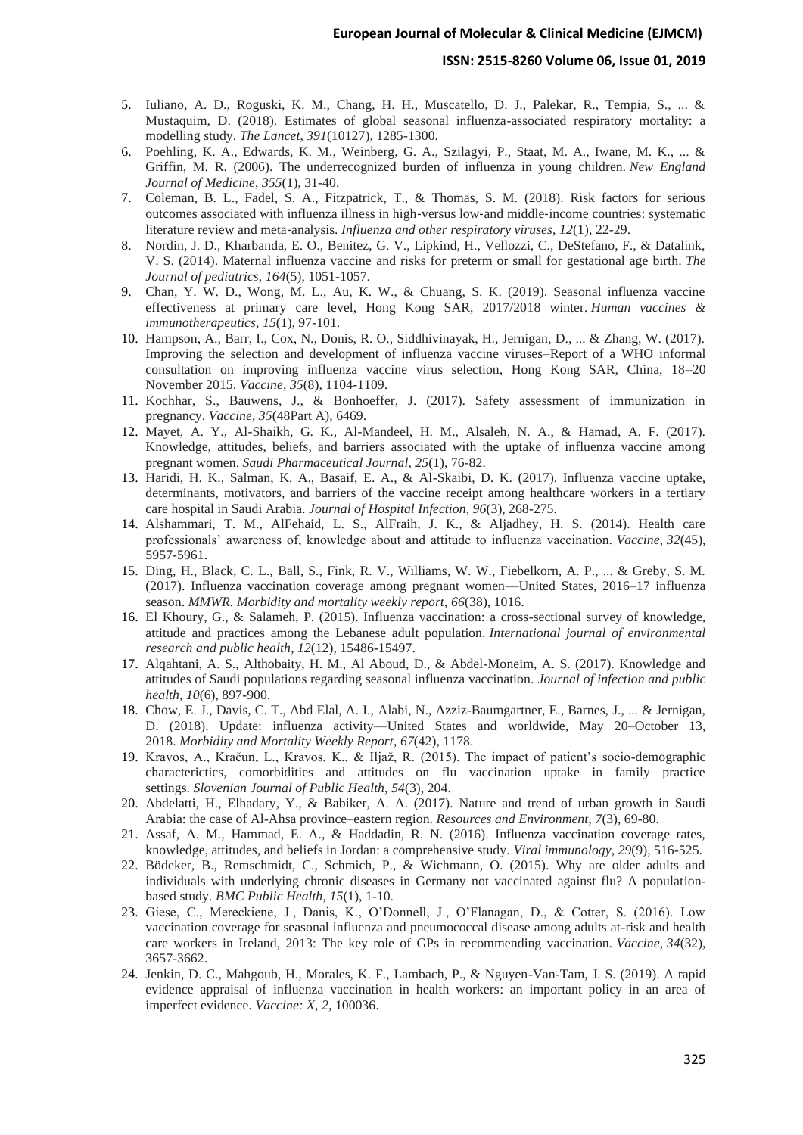#### **ISSN: 2515-8260 Volume 06, Issue 01, 2019**

- 5. Iuliano, A. D., Roguski, K. M., Chang, H. H., Muscatello, D. J., Palekar, R., Tempia, S., ... & Mustaquim, D. (2018). Estimates of global seasonal influenza-associated respiratory mortality: a modelling study. *The Lancet*, *391*(10127), 1285-1300.
- 6. Poehling, K. A., Edwards, K. M., Weinberg, G. A., Szilagyi, P., Staat, M. A., Iwane, M. K., ... & Griffin, M. R. (2006). The underrecognized burden of influenza in young children. *New England Journal of Medicine*, *355*(1), 31-40.
- 7. Coleman, B. L., Fadel, S. A., Fitzpatrick, T., & Thomas, S. M. (2018). Risk factors for serious outcomes associated with influenza illness in high‐versus low‐and middle‐income countries: systematic literature review and meta‐analysis. *Influenza and other respiratory viruses*, *12*(1), 22-29.
- 8. Nordin, J. D., Kharbanda, E. O., Benitez, G. V., Lipkind, H., Vellozzi, C., DeStefano, F., & Datalink, V. S. (2014). Maternal influenza vaccine and risks for preterm or small for gestational age birth. *The Journal of pediatrics*, *164*(5), 1051-1057.
- 9. Chan, Y. W. D., Wong, M. L., Au, K. W., & Chuang, S. K. (2019). Seasonal influenza vaccine effectiveness at primary care level, Hong Kong SAR, 2017/2018 winter. *Human vaccines & immunotherapeutics*, *15*(1), 97-101.
- 10. Hampson, A., Barr, I., Cox, N., Donis, R. O., Siddhivinayak, H., Jernigan, D., ... & Zhang, W. (2017). Improving the selection and development of influenza vaccine viruses–Report of a WHO informal consultation on improving influenza vaccine virus selection, Hong Kong SAR, China, 18–20 November 2015. *Vaccine*, *35*(8), 1104-1109.
- 11. Kochhar, S., Bauwens, J., & Bonhoeffer, J. (2017). Safety assessment of immunization in pregnancy. *Vaccine*, *35*(48Part A), 6469.
- 12. Mayet, A. Y., Al-Shaikh, G. K., Al-Mandeel, H. M., Alsaleh, N. A., & Hamad, A. F. (2017). Knowledge, attitudes, beliefs, and barriers associated with the uptake of influenza vaccine among pregnant women. *Saudi Pharmaceutical Journal*, *25*(1), 76-82.
- 13. Haridi, H. K., Salman, K. A., Basaif, E. A., & Al-Skaibi, D. K. (2017). Influenza vaccine uptake, determinants, motivators, and barriers of the vaccine receipt among healthcare workers in a tertiary care hospital in Saudi Arabia. *Journal of Hospital Infection*, *96*(3), 268-275.
- 14. Alshammari, T. M., AlFehaid, L. S., AlFraih, J. K., & Aljadhey, H. S. (2014). Health care professionals' awareness of, knowledge about and attitude to influenza vaccination. *Vaccine*, *32*(45), 5957-5961.
- 15. Ding, H., Black, C. L., Ball, S., Fink, R. V., Williams, W. W., Fiebelkorn, A. P., ... & Greby, S. M. (2017). Influenza vaccination coverage among pregnant women—United States, 2016–17 influenza season. *MMWR. Morbidity and mortality weekly report*, *66*(38), 1016.
- 16. El Khoury, G., & Salameh, P. (2015). Influenza vaccination: a cross-sectional survey of knowledge, attitude and practices among the Lebanese adult population. *International journal of environmental research and public health*, *12*(12), 15486-15497.
- 17. Alqahtani, A. S., Althobaity, H. M., Al Aboud, D., & Abdel-Moneim, A. S. (2017). Knowledge and attitudes of Saudi populations regarding seasonal influenza vaccination. *Journal of infection and public health*, *10*(6), 897-900.
- 18. Chow, E. J., Davis, C. T., Abd Elal, A. I., Alabi, N., Azziz-Baumgartner, E., Barnes, J., ... & Jernigan, D. (2018). Update: influenza activity—United States and worldwide, May 20–October 13, 2018. *Morbidity and Mortality Weekly Report*, *67*(42), 1178.
- 19. Kravos, A., Kračun, L., Kravos, K., & Iljaž, R. (2015). The impact of patient's socio-demographic characterictics, comorbidities and attitudes on flu vaccination uptake in family practice settings. *Slovenian Journal of Public Health*, *54*(3), 204.
- 20. Abdelatti, H., Elhadary, Y., & Babiker, A. A. (2017). Nature and trend of urban growth in Saudi Arabia: the case of Al-Ahsa province–eastern region. *Resources and Environment*, *7*(3), 69-80.
- 21. Assaf, A. M., Hammad, E. A., & Haddadin, R. N. (2016). Influenza vaccination coverage rates, knowledge, attitudes, and beliefs in Jordan: a comprehensive study. *Viral immunology*, *29*(9), 516-525.
- 22. Bödeker, B., Remschmidt, C., Schmich, P., & Wichmann, O. (2015). Why are older adults and individuals with underlying chronic diseases in Germany not vaccinated against flu? A populationbased study. *BMC Public Health*, *15*(1), 1-10.
- 23. Giese, C., Mereckiene, J., Danis, K., O'Donnell, J., O'Flanagan, D., & Cotter, S. (2016). Low vaccination coverage for seasonal influenza and pneumococcal disease among adults at-risk and health care workers in Ireland, 2013: The key role of GPs in recommending vaccination. *Vaccine*, *34*(32), 3657-3662.
- 24. Jenkin, D. C., Mahgoub, H., Morales, K. F., Lambach, P., & Nguyen-Van-Tam, J. S. (2019). A rapid evidence appraisal of influenza vaccination in health workers: an important policy in an area of imperfect evidence. *Vaccine: X*, *2*, 100036.